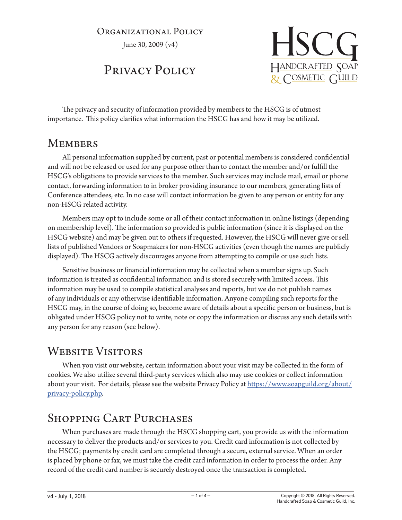#### Organizational Policy

June 30, 2009 (v4)

# Privacy Policy



The privacy and security of information provided by members to the HSCG is of utmost importance. This policy clarifies what information the HSCG has and how it may be utilized.

#### **MEMBERS**

All personal information supplied by current, past or potential members is considered confidential and will not be released or used for any purpose other than to contact the member and/or fulfill the HSCG's obligations to provide services to the member. Such services may include mail, email or phone contact, forwarding information to in broker providing insurance to our members, generating lists of Conference attendees, etc. In no case will contact information be given to any person or entity for any non-HSCG related activity.

Members may opt to include some or all of their contact information in online listings (depending on membership level). The information so provided is public information (since it is displayed on the HSCG website) and may be given out to others if requested. However, the HSCG will never give or sell lists of published Vendors or Soapmakers for non-HSCG activities (even though the names are publicly displayed). The HSCG actively discourages anyone from attempting to compile or use such lists.

Sensitive business or financial information may be collected when a member signs up. Such information is treated as confidential information and is stored securely with limited access. This information may be used to compile statistical analyses and reports, but we do not publish names of any individuals or any otherwise identifiable information. Anyone compiling such reports for the HSCG may, in the course of doing so, become aware of details about a specific person or business, but is obligated under HSCG policy not to write, note or copy the information or discuss any such details with any person for any reason (see below).

# WEBSITE VISITORS

When you visit our website, certain information about your visit may be collected in the form of cookies. We also utilize several third-party services which also may use cookies or collect information about your visit. For details, please see the website Privacy Policy at https://www.soapguild.org/about/ privacy-policy.php.

## Shopping Cart Purchases

When purchases are made through the HSCG shopping cart, you provide us with the information necessary to deliver the products and/or services to you. Credit card information is not collected by the HSCG; payments by credit card are completed through a secure, external service. When an order is placed by phone or fax, we must take the credit card information in order to process the order. Any record of the credit card number is securely destroyed once the transaction is completed.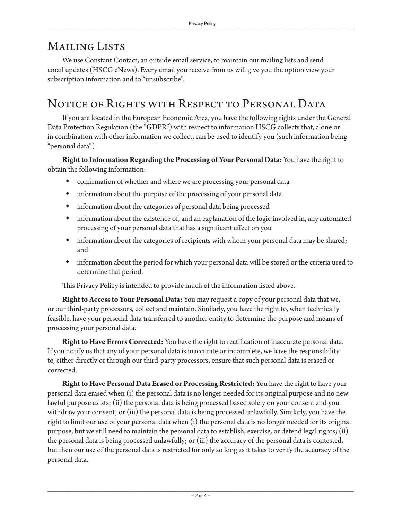### MAILING LISTS

We use Constant Contact, an outside email service, to maintain our mailing lists and send email updates (HSCG eNews). Every email you receive from us will give you the option view your subscription information and to "unsubscribe".

## NOTICE OF RIGHTS WITH RESPECT TO PERSONAL DATA

If you are located in the European Economic Area, you have the following rights under the General Data Protection Regulation (the "GDPR") with respect to information HSCG collects that, alone or in combination with other information we collect, can be used to identify you (such information being "personal data"):

**Right to Information Regarding the Processing of Your Personal Data:** You have the right to obtain the following information:

- confirmation of whether and where we are processing your personal data
- information about the purpose of the processing of your personal data
- information about the categories of personal data being processed
- information about the existence of, and an explanation of the logic involved in, any automated processing of your personal data that has a significant effect on you
- information about the categories of recipients with whom your personal data may be shared; and
- information about the period for which your personal data will be stored or the criteria used to determine that period.

This Privacy Policy is intended to provide much of the information listed above.

**Right to Access to Your Personal Data:** You may request a copy of your personal data that we, or our third-party processors, collect and maintain. Similarly, you have the right to, when technically feasible, have your personal data transferred to another entity to determine the purpose and means of processing your personal data.

**Right to Have Errors Corrected:** You have the right to rectification of inaccurate personal data. If you notify us that any of your personal data is inaccurate or incomplete, we have the responsibility to, either directly or through our third-party processors, ensure that such personal data is erased or corrected.

**Right to Have Personal Data Erased or Processing Restricted:** You have the right to have your personal data erased when (i) the personal data is no longer needed for its original purpose and no new lawful purpose exists; (ii) the personal data is being processed based solely on your consent and you withdraw your consent; or (iii) the personal data is being processed unlawfully. Similarly, you have the right to limit our use of your personal data when (i) the personal data is no longer needed for its original purpose, but we still need to maintain the personal data to establish, exercise, or defend legal rights; (ii) the personal data is being processed unlawfully; or (iii) the accuracy of the personal data is contested, but then our use of the personal data is restricted for only so long as it takes to verify the accuracy of the personal data.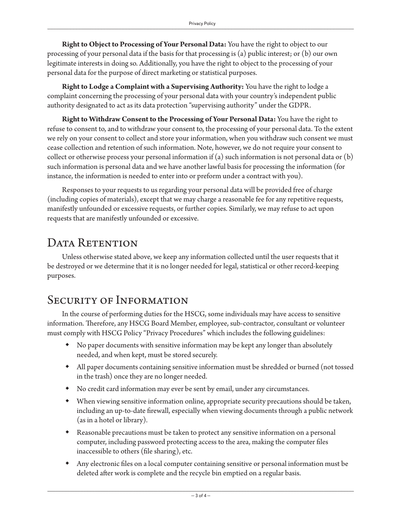**Right to Object to Processing of Your Personal Data:** You have the right to object to our processing of your personal data if the basis for that processing is (a) public interest; or (b) our own legitimate interests in doing so. Additionally, you have the right to object to the processing of your personal data for the purpose of direct marketing or statistical purposes.

**Right to Lodge a Complaint with a Supervising Authority:** You have the right to lodge a complaint concerning the processing of your personal data with your country's independent public authority designated to act as its data protection "supervising authority" under the GDPR.

**Right to Withdraw Consent to the Processing of Your Personal Data:** You have the right to refuse to consent to, and to withdraw your consent to, the processing of your personal data. To the extent we rely on your consent to collect and store your information, when you withdraw such consent we must cease collection and retention of such information. Note, however, we do not require your consent to collect or otherwise process your personal information if (a) such information is not personal data or  $(b)$ such information is personal data and we have another lawful basis for processing the information (for instance, the information is needed to enter into or preform under a contract with you).

Responses to your requests to us regarding your personal data will be provided free of charge (including copies of materials), except that we may charge a reasonable fee for any repetitive requests, manifestly unfounded or excessive requests, or further copies. Similarly, we may refuse to act upon requests that are manifestly unfounded or excessive.

#### DATA RETENTION

Unless otherwise stated above, we keep any information collected until the user requests that it be destroyed or we determine that it is no longer needed for legal, statistical or other record-keeping purposes.

## SECURITY OF INFORMATION

In the course of performing duties for the HSCG, some individuals may have access to sensitive information. Therefore, any HSCG Board Member, employee, sub-contractor, consultant or volunteer must comply with HSCG Policy "Privacy Procedures" which includes the following guidelines:

- No paper documents with sensitive information may be kept any longer than absolutely needed, and when kept, must be stored securely.
- All paper documents containing sensitive information must be shredded or burned (not tossed in the trash) once they are no longer needed.
- No credit card information may ever be sent by email, under any circumstances.
- When viewing sensitive information online, appropriate security precautions should be taken, including an up-to-date firewall, especially when viewing documents through a public network (as in a hotel or library).
- Reasonable precautions must be taken to protect any sensitive information on a personal computer, including password protecting access to the area, making the computer files inaccessible to others (file sharing), etc.
- Any electronic files on a local computer containing sensitive or personal information must be deleted after work is complete and the recycle bin emptied on a regular basis.